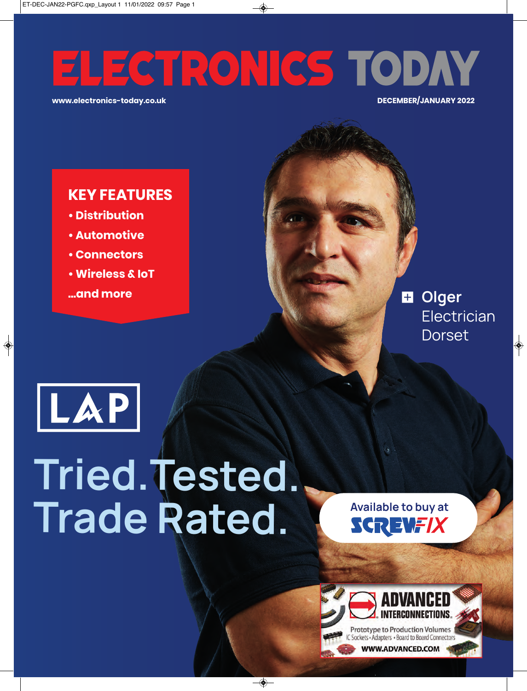# ELECTRONICS TODAY

**www.electronics-today.co.uk DECEMBER/JANUARY 2022**

## **KEY FEATURES**

- **Distribution**
- **Automotive**
- **Connectors**
- **Wireless & IoT**
- **...and more**

**D** Olger **Electrician Dorset** 



# **Tried.Tested. Trade Rated.**

**Available to buy at SCREWFIX** 

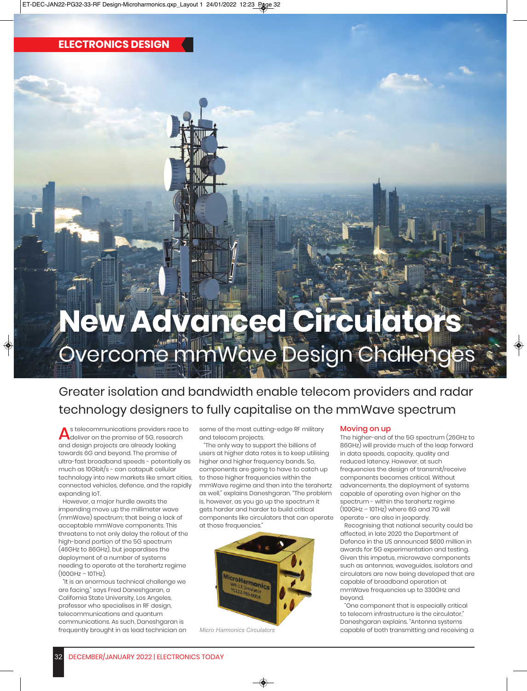## **New Advanced Circulators** Overcome mmWave Design Challenges

### Greater isolation and bandwidth enable telecom providers and radar technology designers to fully capitalise on the mmWave spectrum

As telecommunications providers race to<br>deliver on the promise of 5G, research<br>and design projects are already leeking and design projects are already looking towards 6G and beyond. The promise of ultra-fast broadband speeds - potentially as much as 10Gbit/s - can catapult cellular technology into new markets like smart cities, connected vehicles, defence, and the rapidly expanding IoT.

However, a major hurdle awaits the impending move up the millimeter wave (mmWave) spectrum; that being a lack of acceptable mmWave components. This threatens to not only delay the rollout of the high-band portion of the 5G spectrum (46GHz to 86GHz), but jeopardises the deployment of a number of systems needing to operate at the terahertz regime  $(100GHz - 10THz)$ .

"It is an enormous technical challenge we are facing," says Fred Daneshgaran, a California State University, Los Angeles, professor who specialises in RF design, telecommunications and quantum communications. As such, Daneshgaran is frequently brought in as lead technician on some of the most cutting-edge RF military and telecom projects.

"The only way to support the billions of users at higher data rates is to keep utilising higher and higher frequency bands. So, components are going to have to catch up to those higher frequencies within the mmWave regime and then into the terahertz as well," explains Daneshgaran. "The problem is, however, as you go up the spectrum it gets harder and harder to build critical components like circulators that can operate at those frequencies."



*Micro Harmonics Circulators*

### Moving on up

The higher-end of the 5G spectrum (26GHz to 86GHz) will provide much of the leap forward in data speeds, capacity, quality and reduced latency. However, at such frequencies the design of transmit/receive components becomes critical. Without advancements, the deployment of systems capable of operating even higher on the spectrum - within the terahertz regime (100GHz – 10THz) where 6G and 7G will operate - are also in jeopardy.

Recognising that national security could be affected, in late 2020 the Department of Defence in the US announced \$600 million in awards for 5G experimentation and testing. Given this impetus, microwave components such as antennas, waveguides, isolators and circulators are now being developed that are capable of broadband operation at mmWave frequencies up to 330GHz and beyond.

"One component that is especially critical to telecom infrastructure is the circulator," Daneshgaran explains. "Antenna systems capable of both transmitting and receiving a